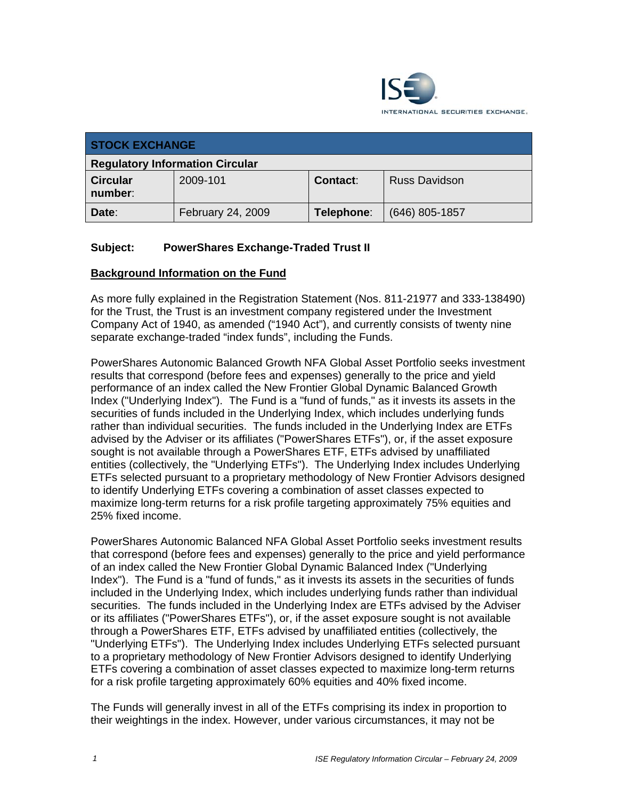

| <b>STOCK EXCHANGE</b>                  |                   |                 |                      |  |
|----------------------------------------|-------------------|-----------------|----------------------|--|
| <b>Regulatory Information Circular</b> |                   |                 |                      |  |
| <b>Circular</b><br>number:             | 2009-101          | <b>Contact:</b> | <b>Russ Davidson</b> |  |
| Date:                                  | February 24, 2009 | Telephone:      | $(646)$ 805-1857     |  |

# **Subject: PowerShares Exchange-Traded Trust II**

## **Background Information on the Fund**

As more fully explained in the Registration Statement (Nos. 811-21977 and 333-138490) for the Trust, the Trust is an investment company registered under the Investment Company Act of 1940, as amended ("1940 Act"), and currently consists of twenty nine separate exchange-traded "index funds", including the Funds.

PowerShares Autonomic Balanced Growth NFA Global Asset Portfolio seeks investment results that correspond (before fees and expenses) generally to the price and yield performance of an index called the New Frontier Global Dynamic Balanced Growth Index ("Underlying Index"). The Fund is a "fund of funds," as it invests its assets in the securities of funds included in the Underlying Index, which includes underlying funds rather than individual securities. The funds included in the Underlying Index are ETFs advised by the Adviser or its affiliates ("PowerShares ETFs"), or, if the asset exposure sought is not available through a PowerShares ETF, ETFs advised by unaffiliated entities (collectively, the "Underlying ETFs"). The Underlying Index includes Underlying ETFs selected pursuant to a proprietary methodology of New Frontier Advisors designed to identify Underlying ETFs covering a combination of asset classes expected to maximize long-term returns for a risk profile targeting approximately 75% equities and 25% fixed income.

PowerShares Autonomic Balanced NFA Global Asset Portfolio seeks investment results that correspond (before fees and expenses) generally to the price and yield performance of an index called the New Frontier Global Dynamic Balanced Index ("Underlying Index"). The Fund is a "fund of funds," as it invests its assets in the securities of funds included in the Underlying Index, which includes underlying funds rather than individual securities. The funds included in the Underlying Index are ETFs advised by the Adviser or its affiliates ("PowerShares ETFs"), or, if the asset exposure sought is not available through a PowerShares ETF, ETFs advised by unaffiliated entities (collectively, the "Underlying ETFs"). The Underlying Index includes Underlying ETFs selected pursuant to a proprietary methodology of New Frontier Advisors designed to identify Underlying ETFs covering a combination of asset classes expected to maximize long-term returns for a risk profile targeting approximately 60% equities and 40% fixed income.

The Funds will generally invest in all of the ETFs comprising its index in proportion to their weightings in the index. However, under various circumstances, it may not be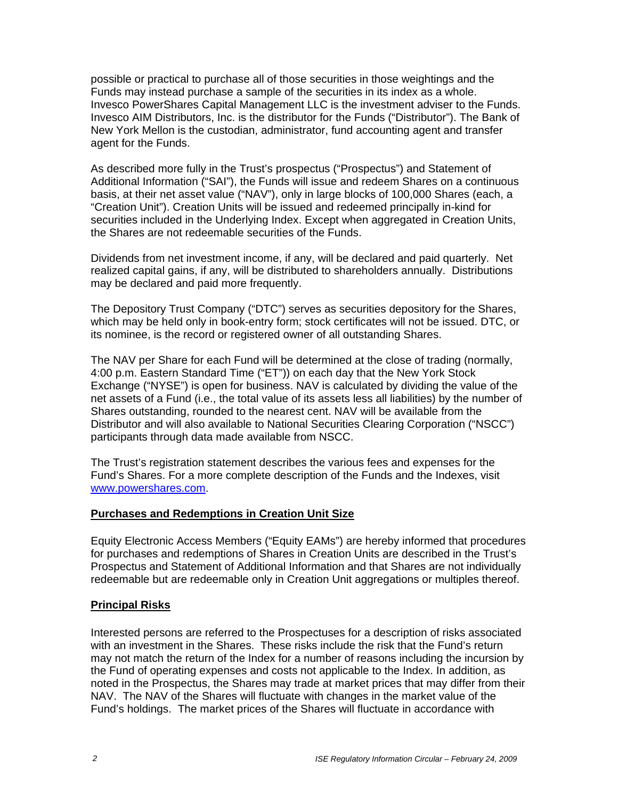possible or practical to purchase all of those securities in those weightings and the Funds may instead purchase a sample of the securities in its index as a whole. Invesco PowerShares Capital Management LLC is the investment adviser to the Funds. Invesco AIM Distributors, Inc. is the distributor for the Funds ("Distributor"). The Bank of New York Mellon is the custodian, administrator, fund accounting agent and transfer agent for the Funds.

As described more fully in the Trust's prospectus ("Prospectus") and Statement of Additional Information ("SAI"), the Funds will issue and redeem Shares on a continuous basis, at their net asset value ("NAV"), only in large blocks of 100,000 Shares (each, a "Creation Unit"). Creation Units will be issued and redeemed principally in-kind for securities included in the Underlying Index. Except when aggregated in Creation Units, the Shares are not redeemable securities of the Funds.

Dividends from net investment income, if any, will be declared and paid quarterly. Net realized capital gains, if any, will be distributed to shareholders annually. Distributions may be declared and paid more frequently.

The Depository Trust Company ("DTC") serves as securities depository for the Shares, which may be held only in book-entry form; stock certificates will not be issued. DTC, or its nominee, is the record or registered owner of all outstanding Shares.

The NAV per Share for each Fund will be determined at the close of trading (normally, 4:00 p.m. Eastern Standard Time ("ET")) on each day that the New York Stock Exchange ("NYSE") is open for business. NAV is calculated by dividing the value of the net assets of a Fund (i.e., the total value of its assets less all liabilities) by the number of Shares outstanding, rounded to the nearest cent. NAV will be available from the Distributor and will also available to National Securities Clearing Corporation ("NSCC") participants through data made available from NSCC.

The Trust's registration statement describes the various fees and expenses for the Fund's Shares. For a more complete description of the Funds and the Indexes, visit www.powershares.com.

## **Purchases and Redemptions in Creation Unit Size**

Equity Electronic Access Members ("Equity EAMs") are hereby informed that procedures for purchases and redemptions of Shares in Creation Units are described in the Trust's Prospectus and Statement of Additional Information and that Shares are not individually redeemable but are redeemable only in Creation Unit aggregations or multiples thereof.

## **Principal Risks**

Interested persons are referred to the Prospectuses for a description of risks associated with an investment in the Shares. These risks include the risk that the Fund's return may not match the return of the Index for a number of reasons including the incursion by the Fund of operating expenses and costs not applicable to the Index. In addition, as noted in the Prospectus, the Shares may trade at market prices that may differ from their NAV. The NAV of the Shares will fluctuate with changes in the market value of the Fund's holdings. The market prices of the Shares will fluctuate in accordance with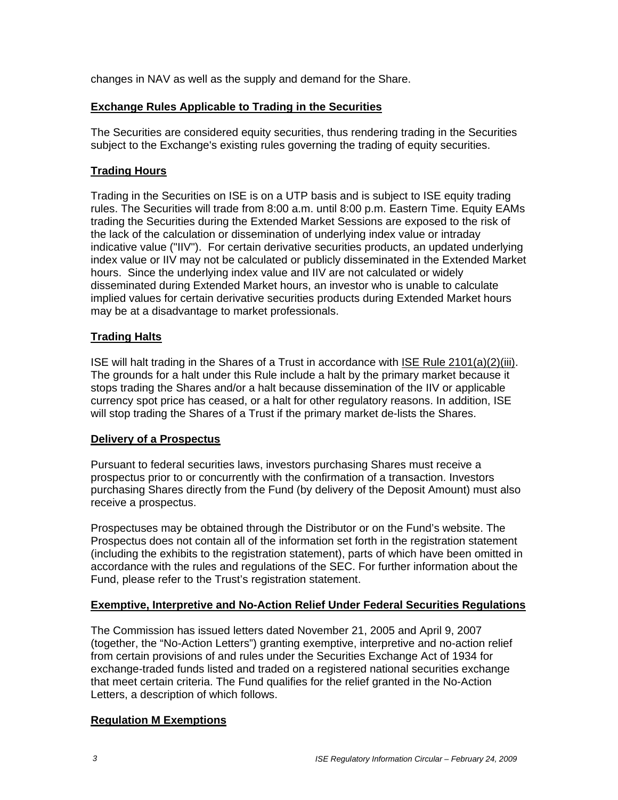changes in NAV as well as the supply and demand for the Share.

## **Exchange Rules Applicable to Trading in the Securities**

The Securities are considered equity securities, thus rendering trading in the Securities subject to the Exchange's existing rules governing the trading of equity securities.

## **Trading Hours**

Trading in the Securities on ISE is on a UTP basis and is subject to ISE equity trading rules. The Securities will trade from 8:00 a.m. until 8:00 p.m. Eastern Time. Equity EAMs trading the Securities during the Extended Market Sessions are exposed to the risk of the lack of the calculation or dissemination of underlying index value or intraday indicative value ("IIV"). For certain derivative securities products, an updated underlying index value or IIV may not be calculated or publicly disseminated in the Extended Market hours. Since the underlying index value and IIV are not calculated or widely disseminated during Extended Market hours, an investor who is unable to calculate implied values for certain derivative securities products during Extended Market hours may be at a disadvantage to market professionals.

## **Trading Halts**

ISE will halt trading in the Shares of a Trust in accordance with ISE Rule 2101(a)(2)(iii). The grounds for a halt under this Rule include a halt by the primary market because it stops trading the Shares and/or a halt because dissemination of the IIV or applicable currency spot price has ceased, or a halt for other regulatory reasons. In addition, ISE will stop trading the Shares of a Trust if the primary market de-lists the Shares.

#### **Delivery of a Prospectus**

Pursuant to federal securities laws, investors purchasing Shares must receive a prospectus prior to or concurrently with the confirmation of a transaction. Investors purchasing Shares directly from the Fund (by delivery of the Deposit Amount) must also receive a prospectus.

Prospectuses may be obtained through the Distributor or on the Fund's website. The Prospectus does not contain all of the information set forth in the registration statement (including the exhibits to the registration statement), parts of which have been omitted in accordance with the rules and regulations of the SEC. For further information about the Fund, please refer to the Trust's registration statement.

#### **Exemptive, Interpretive and No-Action Relief Under Federal Securities Regulations**

The Commission has issued letters dated November 21, 2005 and April 9, 2007 (together, the "No-Action Letters") granting exemptive, interpretive and no-action relief from certain provisions of and rules under the Securities Exchange Act of 1934 for exchange-traded funds listed and traded on a registered national securities exchange that meet certain criteria. The Fund qualifies for the relief granted in the No-Action Letters, a description of which follows.

## **Regulation M Exemptions**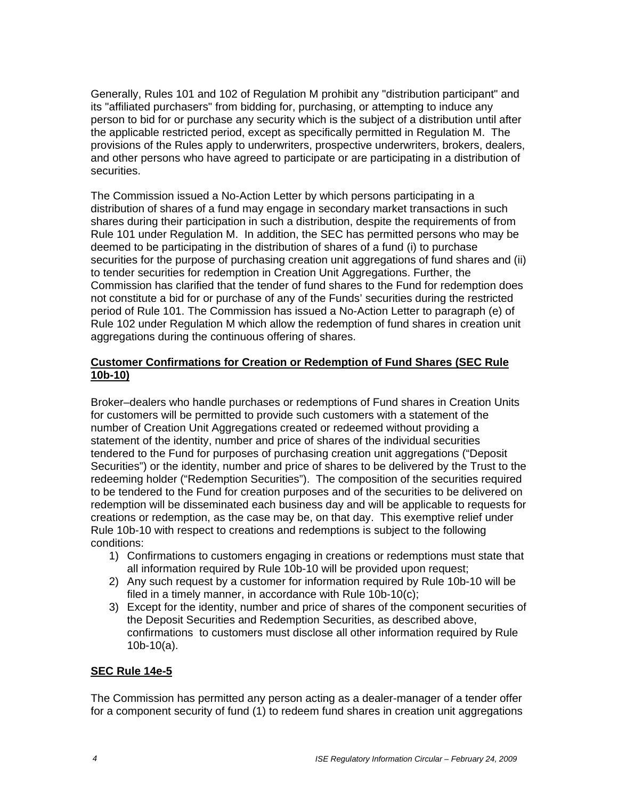Generally, Rules 101 and 102 of Regulation M prohibit any "distribution participant" and its "affiliated purchasers" from bidding for, purchasing, or attempting to induce any person to bid for or purchase any security which is the subject of a distribution until after the applicable restricted period, except as specifically permitted in Regulation M. The provisions of the Rules apply to underwriters, prospective underwriters, brokers, dealers, and other persons who have agreed to participate or are participating in a distribution of securities.

The Commission issued a No-Action Letter by which persons participating in a distribution of shares of a fund may engage in secondary market transactions in such shares during their participation in such a distribution, despite the requirements of from Rule 101 under Regulation M. In addition, the SEC has permitted persons who may be deemed to be participating in the distribution of shares of a fund (i) to purchase securities for the purpose of purchasing creation unit aggregations of fund shares and (ii) to tender securities for redemption in Creation Unit Aggregations. Further, the Commission has clarified that the tender of fund shares to the Fund for redemption does not constitute a bid for or purchase of any of the Funds' securities during the restricted period of Rule 101. The Commission has issued a No-Action Letter to paragraph (e) of Rule 102 under Regulation M which allow the redemption of fund shares in creation unit aggregations during the continuous offering of shares.

# **Customer Confirmations for Creation or Redemption of Fund Shares (SEC Rule 10b-10)**

Broker–dealers who handle purchases or redemptions of Fund shares in Creation Units for customers will be permitted to provide such customers with a statement of the number of Creation Unit Aggregations created or redeemed without providing a statement of the identity, number and price of shares of the individual securities tendered to the Fund for purposes of purchasing creation unit aggregations ("Deposit Securities") or the identity, number and price of shares to be delivered by the Trust to the redeeming holder ("Redemption Securities"). The composition of the securities required to be tendered to the Fund for creation purposes and of the securities to be delivered on redemption will be disseminated each business day and will be applicable to requests for creations or redemption, as the case may be, on that day. This exemptive relief under Rule 10b-10 with respect to creations and redemptions is subject to the following conditions:

- 1) Confirmations to customers engaging in creations or redemptions must state that all information required by Rule 10b-10 will be provided upon request;
- 2) Any such request by a customer for information required by Rule 10b-10 will be filed in a timely manner, in accordance with Rule 10b-10(c);
- 3) Except for the identity, number and price of shares of the component securities of the Deposit Securities and Redemption Securities, as described above, confirmations to customers must disclose all other information required by Rule 10b-10(a).

## **SEC Rule 14e-5**

The Commission has permitted any person acting as a dealer-manager of a tender offer for a component security of fund (1) to redeem fund shares in creation unit aggregations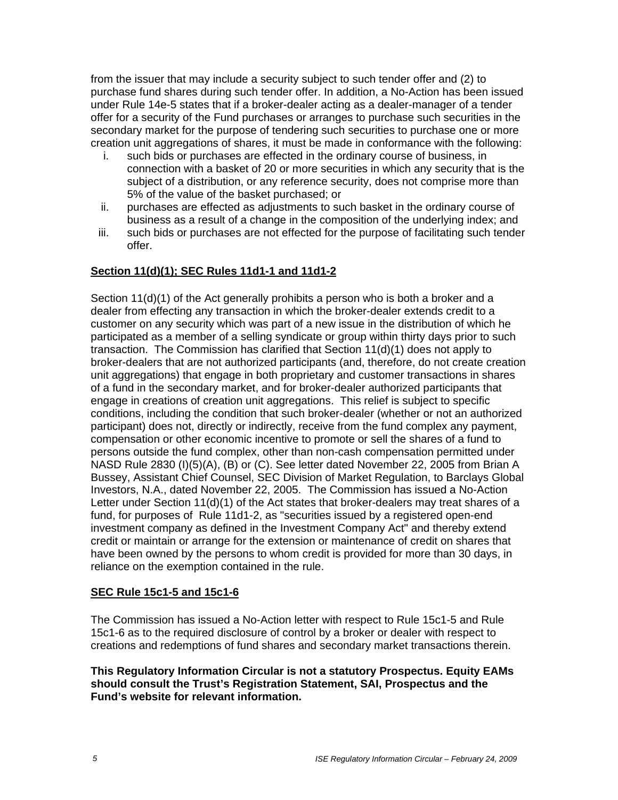from the issuer that may include a security subject to such tender offer and (2) to purchase fund shares during such tender offer. In addition, a No-Action has been issued under Rule 14e-5 states that if a broker-dealer acting as a dealer-manager of a tender offer for a security of the Fund purchases or arranges to purchase such securities in the secondary market for the purpose of tendering such securities to purchase one or more creation unit aggregations of shares, it must be made in conformance with the following:

- i. such bids or purchases are effected in the ordinary course of business, in connection with a basket of 20 or more securities in which any security that is the subject of a distribution, or any reference security, does not comprise more than 5% of the value of the basket purchased; or
- ii. purchases are effected as adjustments to such basket in the ordinary course of business as a result of a change in the composition of the underlying index; and
- iii. such bids or purchases are not effected for the purpose of facilitating such tender offer.

# **Section 11(d)(1); SEC Rules 11d1-1 and 11d1-2**

Section 11(d)(1) of the Act generally prohibits a person who is both a broker and a dealer from effecting any transaction in which the broker-dealer extends credit to a customer on any security which was part of a new issue in the distribution of which he participated as a member of a selling syndicate or group within thirty days prior to such transaction. The Commission has clarified that Section 11(d)(1) does not apply to broker-dealers that are not authorized participants (and, therefore, do not create creation unit aggregations) that engage in both proprietary and customer transactions in shares of a fund in the secondary market, and for broker-dealer authorized participants that engage in creations of creation unit aggregations. This relief is subject to specific conditions, including the condition that such broker-dealer (whether or not an authorized participant) does not, directly or indirectly, receive from the fund complex any payment, compensation or other economic incentive to promote or sell the shares of a fund to persons outside the fund complex, other than non-cash compensation permitted under NASD Rule 2830 (I)(5)(A), (B) or (C). See letter dated November 22, 2005 from Brian A Bussey, Assistant Chief Counsel, SEC Division of Market Regulation, to Barclays Global Investors, N.A., dated November 22, 2005. The Commission has issued a No-Action Letter under Section 11(d)(1) of the Act states that broker-dealers may treat shares of a fund, for purposes of Rule 11d1-2, as "securities issued by a registered open-end investment company as defined in the Investment Company Act" and thereby extend credit or maintain or arrange for the extension or maintenance of credit on shares that have been owned by the persons to whom credit is provided for more than 30 days, in reliance on the exemption contained in the rule.

## **SEC Rule 15c1-5 and 15c1-6**

The Commission has issued a No-Action letter with respect to Rule 15c1-5 and Rule 15c1-6 as to the required disclosure of control by a broker or dealer with respect to creations and redemptions of fund shares and secondary market transactions therein.

#### **This Regulatory Information Circular is not a statutory Prospectus. Equity EAMs should consult the Trust's Registration Statement, SAI, Prospectus and the Fund's website for relevant information.**